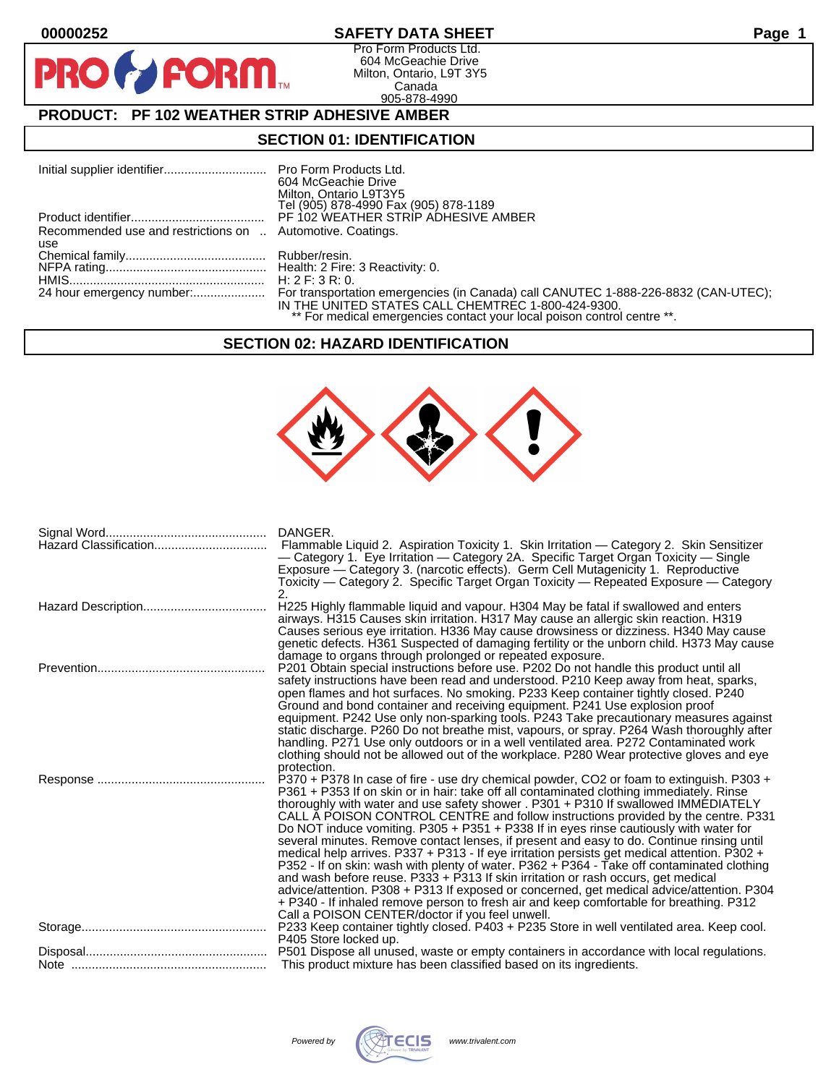$\mathbf{O}$ 

PR

# **00000252 SAFETY DATA SHEET Page 1**

Pro Form Products Ltd. 604 McGeachie Drive Milton, Ontario, L9T 3Y5 Canada 905-878-4990

# **PRODUCT: PF 102 WEATHER STRIP ADHESIVE AMBER**

**FORM** 

## **SECTION 01: IDENTIFICATION**

|                                                            | 604 McGeachie Drive                                                                                                           |
|------------------------------------------------------------|-------------------------------------------------------------------------------------------------------------------------------|
|                                                            | Milton, Ontario L9T3Y5<br>Tel (905) 878-4990 Fax (905) 878-1189                                                               |
|                                                            |                                                                                                                               |
| Recommended use and restrictions on  Automotive. Coatings. |                                                                                                                               |
| use                                                        |                                                                                                                               |
|                                                            |                                                                                                                               |
|                                                            |                                                                                                                               |
|                                                            | H: 2 F: 3 R: 0.                                                                                                               |
|                                                            | IN THE UNITED STATES CALL CHEMTREC 1-800-424-9300.<br>** For medical emergencies contact your local poison control centre **. |

#### **SECTION 02: HAZARD IDENTIFICATION**



| DANGER.<br>Flammable Liquid 2. Aspiration Toxicity 1. Skin Irritation — Category 2. Skin Sensitizer<br>- Category 1. Eye Irritation - Category 2A. Specific Target Organ Toxicity - Single<br>Exposure — Category 3. (narcotic effects). Germ Cell Mutagenicity 1. Reproductive<br>Toxicity — Category 2. Specific Target Organ Toxicity — Repeated Exposure — Category<br>2.                                                                                                                                                                                                                                                                                                                                                                                                                                                                                                                                                                                                                                                                                                       |
|-------------------------------------------------------------------------------------------------------------------------------------------------------------------------------------------------------------------------------------------------------------------------------------------------------------------------------------------------------------------------------------------------------------------------------------------------------------------------------------------------------------------------------------------------------------------------------------------------------------------------------------------------------------------------------------------------------------------------------------------------------------------------------------------------------------------------------------------------------------------------------------------------------------------------------------------------------------------------------------------------------------------------------------------------------------------------------------|
| H225 Highly flammable liquid and vapour. H304 May be fatal if swallowed and enters<br>airways. H315 Causes skin irritation. H317 May cause an allergic skin reaction. H319<br>Causes serious eye irritation. H336 May cause drowsiness or dizziness. H340 May cause<br>genetic defects. H361 Suspected of damaging fertility or the unborn child. H373 May cause<br>damage to organs through prolonged or repeated exposure.                                                                                                                                                                                                                                                                                                                                                                                                                                                                                                                                                                                                                                                        |
| P201 Obtain special instructions before use. P202 Do not handle this product until all<br>safety instructions have been read and understood. P210 Keep away from heat, sparks,<br>open flames and hot surfaces. No smoking. P233 Keep container tightly closed. P240<br>Ground and bond container and receiving equipment. P241 Use explosion proof<br>equipment. P242 Use only non-sparking tools. P243 Take precautionary measures against<br>static discharge. P260 Do not breathe mist, vapours, or spray. P264 Wash thoroughly after<br>handling. P271 Use only outdoors or in a well ventilated area. P272 Contaminated work<br>clothing should not be allowed out of the workplace. P280 Wear protective gloves and eye<br>protection.                                                                                                                                                                                                                                                                                                                                       |
| P370 + P378 In case of fire - use dry chemical powder, CO2 or foam to extinguish. P303 +<br>P361 + P353 If on skin or in hair: take off all contaminated clothing immediately. Rinse<br>thoroughly with water and use safety shower . P301 + P310 If swallowed IMMEDIATELY<br>CALL A POISON CONTROL CENTRE and follow instructions provided by the centre. P331<br>Do NOT induce vomiting. P305 + P351 + P338 If in eyes rinse cautiously with water for<br>several minutes. Remove contact lenses, if present and easy to do. Continue rinsing until<br>medical help arrives. P337 + P313 - If eye irritation persists get medical attention. P302 +<br>P352 - If on skin: wash with plenty of water. P362 + P364 - Take off contaminated clothing<br>and wash before reuse. P333 + P313 If skin irritation or rash occurs, get medical<br>advice/attention. P308 + P313 If exposed or concerned, get medical advice/attention. P304<br>+ P340 - If inhaled remove person to fresh air and keep comfortable for breathing. P312<br>Call a POISON CENTER/doctor if you feel unwell. |
| P405 Store locked up.                                                                                                                                                                                                                                                                                                                                                                                                                                                                                                                                                                                                                                                                                                                                                                                                                                                                                                                                                                                                                                                               |
| This product mixture has been classified based on its ingredients.                                                                                                                                                                                                                                                                                                                                                                                                                                                                                                                                                                                                                                                                                                                                                                                                                                                                                                                                                                                                                  |

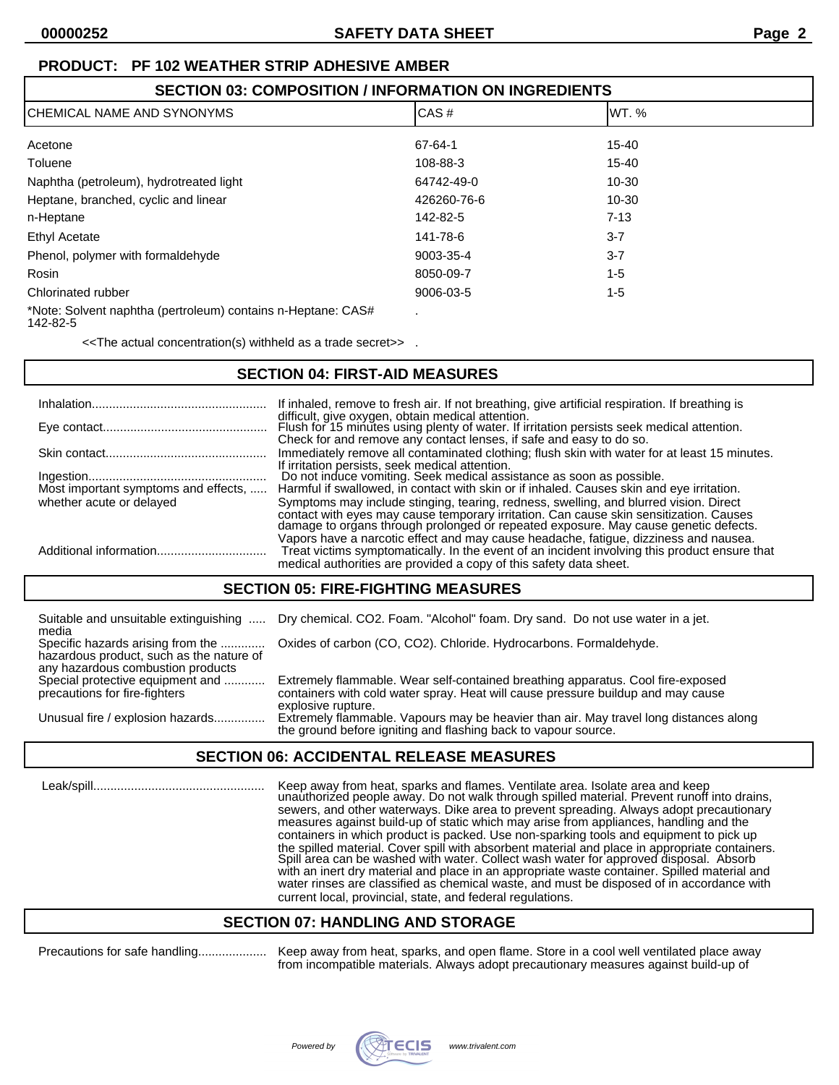# **PRODUCT: PF 102 WEATHER STRIP ADHESIVE AMBER**

# **SECTION 03: COMPOSITION / INFORMATION ON INGREDIENTS**

| CHEMICAL NAME AND SYNONYMS                                   | CAS#        | IWT. %    |  |
|--------------------------------------------------------------|-------------|-----------|--|
| Acetone                                                      | 67-64-1     | $15 - 40$ |  |
| Toluene                                                      | 108-88-3    | 15-40     |  |
| Naphtha (petroleum), hydrotreated light                      | 64742-49-0  | $10 - 30$ |  |
| Heptane, branched, cyclic and linear                         | 426260-76-6 | $10 - 30$ |  |
| n-Heptane                                                    | 142-82-5    | $7 - 13$  |  |
| <b>Ethyl Acetate</b>                                         | 141-78-6    | $3 - 7$   |  |
| Phenol, polymer with formaldehyde                            | 9003-35-4   | $3 - 7$   |  |
| Rosin                                                        | 8050-09-7   | $1 - 5$   |  |
| Chlorinated rubber                                           | 9006-03-5   | 1-5       |  |
| *Note: Solvent naphtha (pertroleum) contains n-Heptane: CAS# |             |           |  |

142-82-5

<<The actual concentration(s) withheld as a trade secret>> .

# **SECTION 04: FIRST-AID MEASURES**

|                                      | If inhaled, remove to fresh air. If not breathing, give artificial respiration. If breathing is                                                                                                                                                                        |
|--------------------------------------|------------------------------------------------------------------------------------------------------------------------------------------------------------------------------------------------------------------------------------------------------------------------|
|                                      | difficult, give oxygen, obtain medical attention.<br>Flush for 15 minutes using plenty of water. If irritation persists seek medical attention.<br>Check for and remove any contact lenses, if safe and easy to do so.                                                 |
|                                      | Immediately remove all contaminated clothing; flush skin with water for at least 15 minutes.                                                                                                                                                                           |
| Most important symptoms and effects, | If irritation persists, seek medical attention.<br>Do not induce vomiting. Seek medical assistance as soon as possible.<br>Harmful if swallowed, in contact with skin or if inhaled. Causes skin and eye irritation.                                                   |
| whether acute or delayed             | Symptoms may include stinging, tearing, redness, swelling, and blurred vision. Direct<br>contact with eyes may cause temporary irritation. Can cause skin sensitization. Causes<br>damage to organs through prolonged or repeated exposure. May cause genetic defects. |
|                                      | Vapors have a narcotic effect and may cause headache, fatigue, dizziness and nausea.<br>Treat victims symptomatically. In the event of an incident involving this product ensure that<br>medical authorities are provided a copy of this safety data sheet.            |

### **SECTION 05: FIRE-FIGHTING MEASURES**

| media                                                                                                              | Suitable and unsuitable extinguishing  Dry chemical. CO2. Foam. "Alcohol" foam. Dry sand. Do not use water in a jet.                                                                      |
|--------------------------------------------------------------------------------------------------------------------|-------------------------------------------------------------------------------------------------------------------------------------------------------------------------------------------|
| Specific hazards arising from the<br>hazardous product, such as the nature of<br>any hazardous combustion products | Oxides of carbon (CO, CO2). Chloride. Hydrocarbons. Formaldehyde.                                                                                                                         |
| Special protective equipment and<br>precautions for fire-fighters                                                  | Extremely flammable. Wear self-contained breathing apparatus. Cool fire-exposed<br>containers with cold water spray. Heat will cause pressure buildup and may cause<br>explosive rupture. |
| Unusual fire / explosion hazards                                                                                   | Extremely flammable. Vapours may be heavier than air. May travel long distances along<br>the ground before igniting and flashing back to vapour source.                                   |

### **SECTION 06: ACCIDENTAL RELEASE MEASURES**

 Leak/spill.................................................. Keep away from heat, sparks and flames. Ventilate area. Isolate area and keep unauthorized people away. Do not walk through spilled material. Prevent runoff into drains, sewers, and other waterways. Dike area to prevent spreading. Always adopt precautionary measures against build-up of static which may arise from appliances, handling and the containers in which product is packed. Use non-sparking tools and equipment to pick up the spilled material. Cover spill with absorbent material and place in appropriate containers. Spill area can be washed with water. Collect wash water for approved disposal. Absorb with an inert dry material and place in an appropriate waste container. Spilled material and water rinses are classified as chemical waste, and must be disposed of in accordance with current local, provincial, state, and federal regulations.

### **SECTION 07: HANDLING AND STORAGE**

Precautions for safe handling.................... Keep away from heat, sparks, and open flame. Store in a cool well ventilated place away from incompatible materials. Always adopt precautionary measures against build-up of

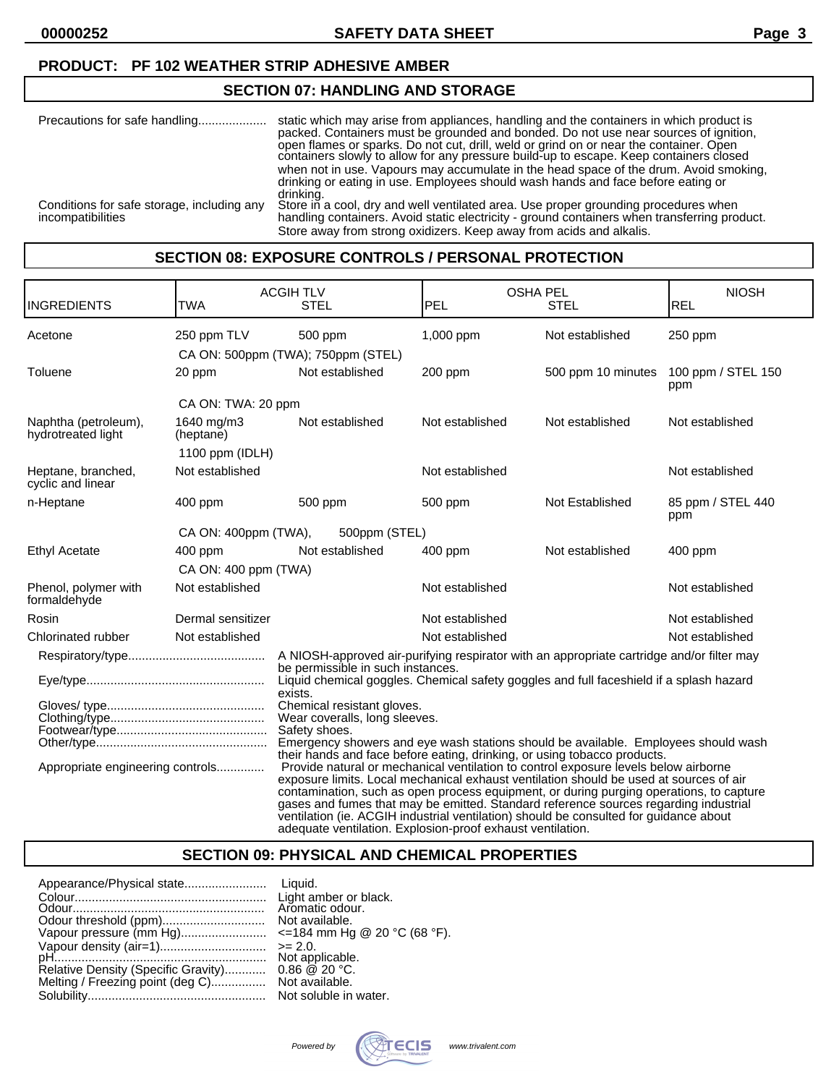# **PRODUCT: PF 102 WEATHER STRIP ADHESIVE AMBER**

## **SECTION 07: HANDLING AND STORAGE**

| Precautions for safe handling                                   | static which may arise from appliances, handling and the containers in which product is<br>packed. Containers must be grounded and bonded. Do not use near sources of ignition,<br>open flames or sparks. Do not cut, drill, weld or grind on or near the container. Open<br>containers slowly to allow for any pressure build-up to escape. Keep containers closed<br>when not in use. Vapours may accumulate in the head space of the drum. Avoid smoking,<br>drinking or eating in use. Employees should wash hands and face before eating or |
|-----------------------------------------------------------------|--------------------------------------------------------------------------------------------------------------------------------------------------------------------------------------------------------------------------------------------------------------------------------------------------------------------------------------------------------------------------------------------------------------------------------------------------------------------------------------------------------------------------------------------------|
| Conditions for safe storage, including any<br>incompatibilities | drinking.<br>Store in a cool, dry and well ventilated area. Use proper grounding procedures when<br>handling containers. Avoid static electricity - ground containers when transferring product.<br>Store away from strong oxidizers. Keep away from acids and alkalis.                                                                                                                                                                                                                                                                          |

#### **SECTION 08: EXPOSURE CONTROLS / PERSONAL PROTECTION**

| <b>INGREDIENTS</b>                         | TWA                     | <b>ACGIHTLV</b><br><b>STEL</b>                                                                                                                                                                                                                                                                                                                                                                                                                                                                                          | <b>OSHA PEL</b><br>PEL | <b>STEL</b>        | <b>NIOSH</b><br>REL       |
|--------------------------------------------|-------------------------|-------------------------------------------------------------------------------------------------------------------------------------------------------------------------------------------------------------------------------------------------------------------------------------------------------------------------------------------------------------------------------------------------------------------------------------------------------------------------------------------------------------------------|------------------------|--------------------|---------------------------|
| Acetone                                    | 250 ppm TLV             | 500 ppm                                                                                                                                                                                                                                                                                                                                                                                                                                                                                                                 | 1,000 ppm              | Not established    | 250 ppm                   |
|                                            |                         | CA ON: 500ppm (TWA); 750ppm (STEL)                                                                                                                                                                                                                                                                                                                                                                                                                                                                                      |                        |                    |                           |
| Toluene                                    | 20 ppm                  | Not established                                                                                                                                                                                                                                                                                                                                                                                                                                                                                                         | 200 ppm                | 500 ppm 10 minutes | 100 ppm / STEL 150<br>ppm |
|                                            | CA ON: TWA: 20 ppm      |                                                                                                                                                                                                                                                                                                                                                                                                                                                                                                                         |                        |                    |                           |
| Naphtha (petroleum),<br>hydrotreated light | 1640 mg/m3<br>(heptane) | Not established                                                                                                                                                                                                                                                                                                                                                                                                                                                                                                         | Not established        | Not established    | Not established           |
|                                            | 1100 ppm $(IDLH)$       |                                                                                                                                                                                                                                                                                                                                                                                                                                                                                                                         |                        |                    |                           |
| Heptane, branched,<br>cyclic and linear    | Not established         |                                                                                                                                                                                                                                                                                                                                                                                                                                                                                                                         | Not established        |                    | Not established           |
| n-Heptane                                  | $400$ ppm               | 500 ppm                                                                                                                                                                                                                                                                                                                                                                                                                                                                                                                 | 500 ppm                | Not Established    | 85 ppm / STEL 440<br>ppm  |
|                                            | CA ON: 400ppm (TWA),    | 500ppm (STEL)                                                                                                                                                                                                                                                                                                                                                                                                                                                                                                           |                        |                    |                           |
| <b>Ethyl Acetate</b>                       | 400 ppm                 | Not established                                                                                                                                                                                                                                                                                                                                                                                                                                                                                                         | $400$ ppm              | Not established    | 400 ppm                   |
|                                            | CA ON: 400 ppm (TWA)    |                                                                                                                                                                                                                                                                                                                                                                                                                                                                                                                         |                        |                    |                           |
| Phenol, polymer with<br>formaldehyde       | Not established         |                                                                                                                                                                                                                                                                                                                                                                                                                                                                                                                         | Not established        |                    | Not established           |
| Rosin                                      | Dermal sensitizer       |                                                                                                                                                                                                                                                                                                                                                                                                                                                                                                                         | Not established        |                    | Not established           |
| Chlorinated rubber                         | Not established         |                                                                                                                                                                                                                                                                                                                                                                                                                                                                                                                         | Not established        |                    | Not established           |
|                                            |                         | A NIOSH-approved air-purifying respirator with an appropriate cartridge and/or filter may                                                                                                                                                                                                                                                                                                                                                                                                                               |                        |                    |                           |
|                                            |                         | be permissible in such instances.<br>Liquid chemical goggles. Chemical safety goggles and full faceshield if a splash hazard<br>exists.                                                                                                                                                                                                                                                                                                                                                                                 |                        |                    |                           |
|                                            |                         | Chemical resistant gloves.<br>Wear coveralls, long sleeves.<br>Safety shoes.                                                                                                                                                                                                                                                                                                                                                                                                                                            |                        |                    |                           |
|                                            |                         | Emergency showers and eye wash stations should be available. Employees should wash<br>their hands and face before eating, drinking, or using tobacco products.                                                                                                                                                                                                                                                                                                                                                          |                        |                    |                           |
| Appropriate engineering controls           |                         | Provide natural or mechanical ventilation to control exposure levels below airborne<br>exposure limits. Local mechanical exhaust ventilation should be used at sources of air<br>contamination, such as open process equipment, or during purging operations, to capture<br>gases and fumes that may be emitted. Standard reference sources regarding industrial<br>ventilation (ie. ACGIH industrial ventilation) should be consulted for guidance about<br>adequate ventilation. Explosion-proof exhaust ventilation. |                        |                    |                           |

# **SECTION 09: PHYSICAL AND CHEMICAL PROPERTIES**

|                                     | Light amber or black.             |
|-------------------------------------|-----------------------------------|
|                                     | Aromatic odour.                   |
|                                     | Not available.                    |
| Vapour pressure (mm Hg)             | $\le$ =184 mm Hg @ 20 °C (68 °F). |
|                                     | $>= 2.0.$                         |
|                                     | Not applicable.                   |
| Relative Density (Specific Gravity) | $0.86 \ @ \ 20 \degree C.$        |
| Melting / Freezing point (deg C)    | Not available.                    |
|                                     | Not soluble in water.             |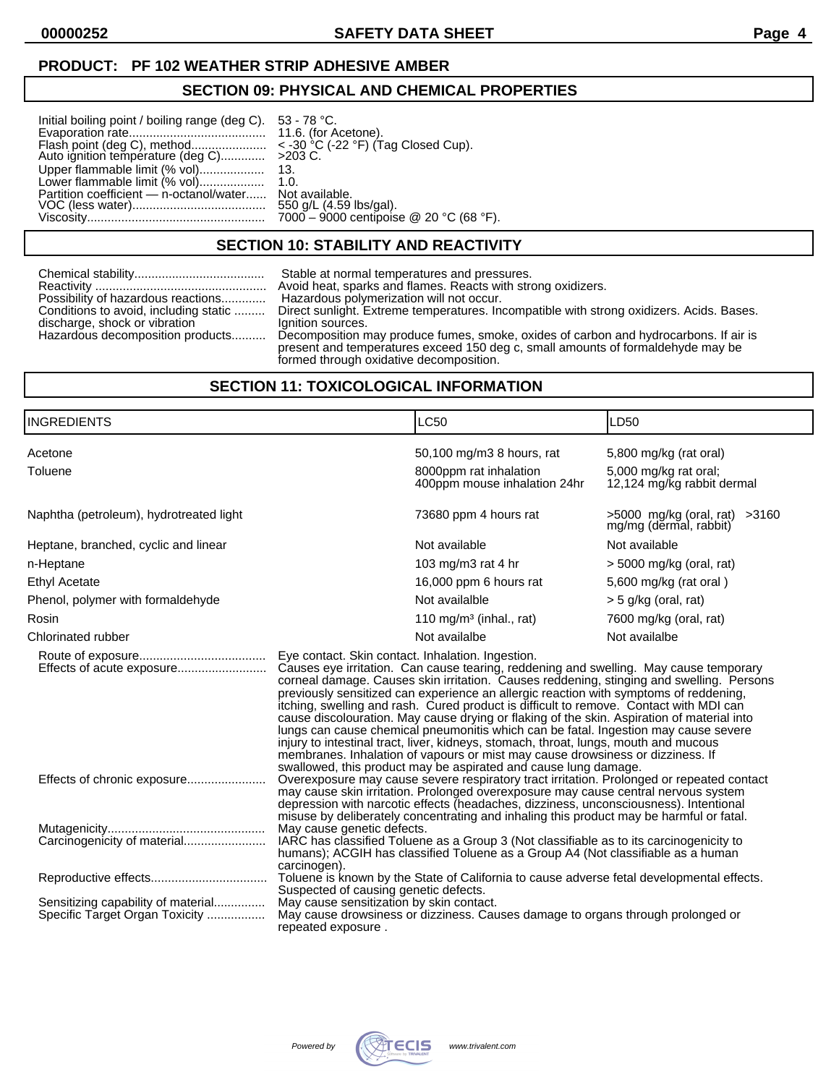## **PRODUCT: PF 102 WEATHER STRIP ADHESIVE AMBER**

# **SECTION 09: PHYSICAL AND CHEMICAL PROPERTIES**

| Initial boiling point / boiling range (deg C). 53 - 78 °C.<br>Upper flammable limit (% vol)<br>Partition coefficient — n-octanol/water Not available. | -13.<br>550 g/L (4.59 lbs/gal).         |
|-------------------------------------------------------------------------------------------------------------------------------------------------------|-----------------------------------------|
|                                                                                                                                                       | 7000 - 9000 centipoise @ 20 °C (68 °F). |

## **SECTION 10: STABILITY AND REACTIVITY**

|                                       | Stable at normal temperatures and pressures.                                                                                                                                                                       |
|---------------------------------------|--------------------------------------------------------------------------------------------------------------------------------------------------------------------------------------------------------------------|
|                                       | Avoid heat, sparks and flames. Reacts with strong oxidizers.                                                                                                                                                       |
| Possibility of hazardous reactions    | Hazardous polymerization will not occur.                                                                                                                                                                           |
| Conditions to avoid, including static | Direct sunlight. Extreme temperatures. Incompatible with strong oxidizers. Acids. Bases.                                                                                                                           |
| discharge, shock or vibration         | Ignition sources.                                                                                                                                                                                                  |
| Hazardous decomposition products      | Decomposition may produce fumes, smoke, oxides of carbon and hydrocarbons. If air is<br>present and temperatures exceed 150 deg c, small amounts of formaldehyde may be<br>formed through oxidative decomposition. |

# **SECTION 11: TOXICOLOGICAL INFORMATION**

| <b>INGREDIENTS</b>                                                   |                                                                                                                                                                                                                                                                                                                                                                                                                                                                                                                                                                                                                                                                     | <b>LC50</b>                                                                                                                                                                                                                                                                                                                                                                                                                                                                                                                                                                                                                                                                                                                         | LD50                                                                          |
|----------------------------------------------------------------------|---------------------------------------------------------------------------------------------------------------------------------------------------------------------------------------------------------------------------------------------------------------------------------------------------------------------------------------------------------------------------------------------------------------------------------------------------------------------------------------------------------------------------------------------------------------------------------------------------------------------------------------------------------------------|-------------------------------------------------------------------------------------------------------------------------------------------------------------------------------------------------------------------------------------------------------------------------------------------------------------------------------------------------------------------------------------------------------------------------------------------------------------------------------------------------------------------------------------------------------------------------------------------------------------------------------------------------------------------------------------------------------------------------------------|-------------------------------------------------------------------------------|
| Acetone<br>Toluene                                                   |                                                                                                                                                                                                                                                                                                                                                                                                                                                                                                                                                                                                                                                                     | 50,100 mg/m3 8 hours, rat<br>8000ppm rat inhalation<br>400ppm mouse inhalation 24hr                                                                                                                                                                                                                                                                                                                                                                                                                                                                                                                                                                                                                                                 | 5,800 mg/kg (rat oral)<br>5,000 mg/kg rat oral;<br>12,124 mg/kg rabbit dermal |
| Naphtha (petroleum), hydrotreated light                              |                                                                                                                                                                                                                                                                                                                                                                                                                                                                                                                                                                                                                                                                     | 73680 ppm 4 hours rat                                                                                                                                                                                                                                                                                                                                                                                                                                                                                                                                                                                                                                                                                                               | >5000 mg/kg (oral, rat) >3160<br>mg/mg (dermal, rabbit)                       |
| Heptane, branched, cyclic and linear                                 |                                                                                                                                                                                                                                                                                                                                                                                                                                                                                                                                                                                                                                                                     | Not available                                                                                                                                                                                                                                                                                                                                                                                                                                                                                                                                                                                                                                                                                                                       | Not available                                                                 |
| n-Heptane                                                            |                                                                                                                                                                                                                                                                                                                                                                                                                                                                                                                                                                                                                                                                     | 103 mg/m3 rat 4 hr                                                                                                                                                                                                                                                                                                                                                                                                                                                                                                                                                                                                                                                                                                                  | $>$ 5000 mg/kg (oral, rat)                                                    |
| <b>Ethyl Acetate</b>                                                 |                                                                                                                                                                                                                                                                                                                                                                                                                                                                                                                                                                                                                                                                     | 16,000 ppm 6 hours rat                                                                                                                                                                                                                                                                                                                                                                                                                                                                                                                                                                                                                                                                                                              | 5,600 mg/kg (rat oral)                                                        |
| Phenol, polymer with formaldehyde                                    |                                                                                                                                                                                                                                                                                                                                                                                                                                                                                                                                                                                                                                                                     | Not availalble                                                                                                                                                                                                                                                                                                                                                                                                                                                                                                                                                                                                                                                                                                                      | $>$ 5 g/kg (oral, rat)                                                        |
| Rosin                                                                |                                                                                                                                                                                                                                                                                                                                                                                                                                                                                                                                                                                                                                                                     | 110 mg/m <sup>3</sup> (inhal., rat)                                                                                                                                                                                                                                                                                                                                                                                                                                                                                                                                                                                                                                                                                                 | 7600 mg/kg (oral, rat)                                                        |
| Chlorinated rubber                                                   |                                                                                                                                                                                                                                                                                                                                                                                                                                                                                                                                                                                                                                                                     | Not availalbe                                                                                                                                                                                                                                                                                                                                                                                                                                                                                                                                                                                                                                                                                                                       | Not availalbe                                                                 |
| Effects of acute exposure                                            | Eye contact. Skin contact. Inhalation. Ingestion.                                                                                                                                                                                                                                                                                                                                                                                                                                                                                                                                                                                                                   | Causes eye irritation. Can cause tearing, reddening and swelling. May cause temporary<br>corneal damage. Causes skin irritation. Causes reddening, stinging and swelling. Persons<br>previously sensitized can experience an allergic reaction with symptoms of reddening,<br>itching, swelling and rash. Cured product is difficult to remove. Contact with MDI can<br>cause discolouration. May cause drying or flaking of the skin. Aspiration of material into<br>lungs can cause chemical pneumonitis which can be fatal. Ingestion may cause severe<br>injury to intestinal tract, liver, kidneys, stomach, throat, lungs, mouth and mucous<br>membranes. Inhalation of vapours or mist may cause drowsiness or dizziness. If |                                                                               |
| Effects of chronic exposure                                          | swallowed, this product may be aspirated and cause lung damage.<br>Overexposure may cause severe respiratory tract irritation. Prolonged or repeated contact<br>may cause skin irritation. Prolonged overexposure may cause central nervous system<br>depression with narcotic effects (headaches, dizziness, unconsciousness). Intentional<br>misuse by deliberately concentrating and inhaling this product may be harmful or fatal.<br>May cause genetic defects.<br>IARC has classified Toluene as a Group 3 (Not classifiable as to its carcinogenicity to<br>humans); ACGIH has classified Toluene as a Group A4 (Not classifiable as a human<br>carcinogen). |                                                                                                                                                                                                                                                                                                                                                                                                                                                                                                                                                                                                                                                                                                                                     |                                                                               |
|                                                                      |                                                                                                                                                                                                                                                                                                                                                                                                                                                                                                                                                                                                                                                                     |                                                                                                                                                                                                                                                                                                                                                                                                                                                                                                                                                                                                                                                                                                                                     |                                                                               |
|                                                                      | Suspected of causing genetic defects.                                                                                                                                                                                                                                                                                                                                                                                                                                                                                                                                                                                                                               | Toluene is known by the State of California to cause adverse fetal developmental effects.                                                                                                                                                                                                                                                                                                                                                                                                                                                                                                                                                                                                                                           |                                                                               |
| Sensitizing capability of material<br>Specific Target Organ Toxicity | May cause sensitization by skin contact.<br>repeated exposure.                                                                                                                                                                                                                                                                                                                                                                                                                                                                                                                                                                                                      | May cause drowsiness or dizziness. Causes damage to organs through prolonged or                                                                                                                                                                                                                                                                                                                                                                                                                                                                                                                                                                                                                                                     |                                                                               |